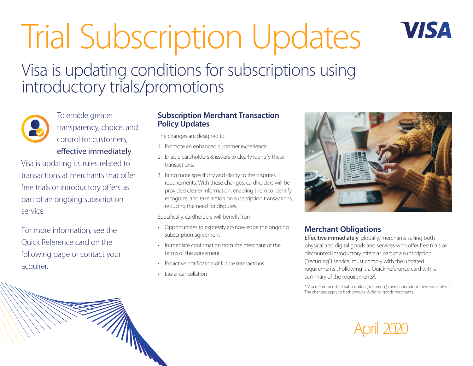# Trial Subscription Updates Visa is updating conditions for subscriptions using introductory trials/promotions



To enable greater transparency, choice, and control for customers, effective immediately

Visa is updating its rules related to transactions at merchants that offer free trials or introductory offers as part of an ongoing subscription service.

For more information, see the Quick Reference card on the following page or contact your acquirer.

#### **Subscription Merchant Transaction Policy Updates**

The changes are designed to:

- 1. Promote an enhanced customer experience.
- 2. Enable cardholders & issuers to clearly identify these transactions.
- 3. Bring more specificity and clarity to the disputes requirements. With these changes, cardholders will be provided clearer information, enabling them to identify, recognize, and take action on subscription transactions, reducing the need for disputes.

Specifically, cardholders will benefit from:

- Opportunities to expressly acknowledge the ongoing subscription agreement
- Immediate confirmation from the merchant of the terms of the agreement
- Proactive notification of future transactions
- Easier cancellation



VISA

#### **Merchant Obligations**

Effecitive immediately, globally, merchants selling both physical and digital goods and services who offer free trials or discounted introductory offers as part of a subscription ("recurring") service, must comply with the updated requirements<sup>1</sup>. Following is a Quick Reference card with a summary of the requirements<sup>2</sup>. .

1 Visa recommends all subscription ("recurring") merchants adopt these principles. 2 The changes apply to both physical & digital goods merchants.